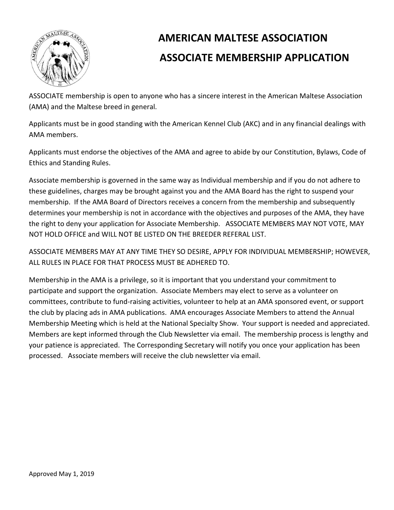

# **AMERICAN MALTESE ASSOCIATION ASSOCIATE MEMBERSHIP APPLICATION**

ASSOCIATE membership is open to anyone who has a sincere interest in the American Maltese Association (AMA) and the Maltese breed in general.

Applicants must be in good standing with the American Kennel Club (AKC) and in any financial dealings with AMA members.

Applicants must endorse the objectives of the AMA and agree to abide by our Constitution, Bylaws, Code of Ethics and Standing Rules.

Associate membership is governed in the same way as Individual membership and if you do not adhere to these guidelines, charges may be brought against you and the AMA Board has the right to suspend your membership. If the AMA Board of Directors receives a concern from the membership and subsequently determines your membership is not in accordance with the objectives and purposes of the AMA, they have the right to deny your application for Associate Membership. ASSOCIATE MEMBERS MAY NOT VOTE, MAY NOT HOLD OFFICE and WILL NOT BE LISTED ON THE BREEDER REFERAL LIST.

ASSOCIATE MEMBERS MAY AT ANY TIME THEY SO DESIRE, APPLY FOR INDIVIDUAL MEMBERSHIP; HOWEVER, ALL RULES IN PLACE FOR THAT PROCESS MUST BE ADHERED TO.

Membership in the AMA is a privilege, so it is important that you understand your commitment to participate and support the organization. Associate Members may elect to serve as a volunteer on committees, contribute to fund-raising activities, volunteer to help at an AMA sponsored event, or support the club by placing ads in AMA publications. AMA encourages Associate Members to attend the Annual Membership Meeting which is held at the National Specialty Show. Your support is needed and appreciated. Members are kept informed through the Club Newsletter via email. The membership process is lengthy and your patience is appreciated. The Corresponding Secretary will notify you once your application has been processed. Associate members will receive the club newsletter via email.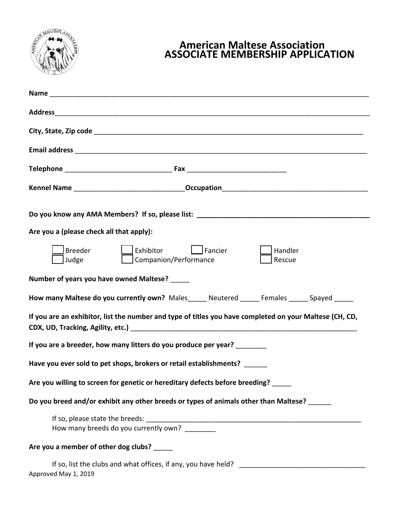

## **American Maltese Association ASSOCIATE MEMBERSHIP APPLICATION**

| Do you know any AMA Members? If so, please list: _______________________________                        |
|---------------------------------------------------------------------------------------------------------|
| Are you a (please check all that apply):                                                                |
| Exhibitor<br>Breeder<br>$\Box$ Fancier<br>Handler<br>  Companion/Performance<br>Judge<br>Rescue         |
| Number of years you have owned Maltese? _____                                                           |
| How many Maltese do you currently own? Males_comparatered ______ Females ______ Spayed ______           |
| If you are an exhibitor, list the number and type of titles you have completed on your Maltese (CH, CD, |
| If you are a breeder, how many litters do you produce per year?                                         |
| Have you ever sold to pet shops, brokers or retail establishments?                                      |
| Are you willing to screen for genetic or hereditary defects before breeding?                            |
| Do you breed and/or exhibit any other breeds or types of animals other than Maltese?                    |
| How many breeds do you currently own? ________                                                          |
| Are you a member of other dog clubs?                                                                    |
| Approved May 1, 2019                                                                                    |